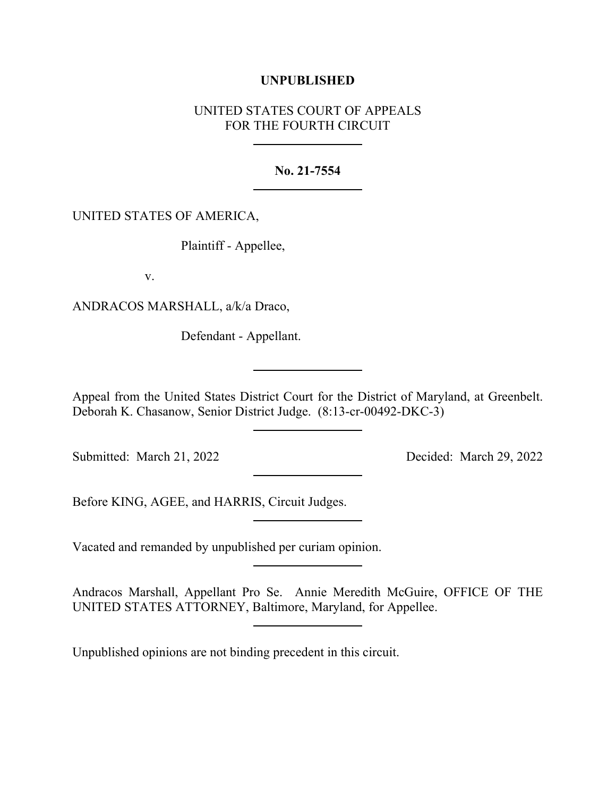## **UNPUBLISHED**

# UNITED STATES COURT OF APPEALS FOR THE FOURTH CIRCUIT

### **No. 21-7554**

### UNITED STATES OF AMERICA,

Plaintiff - Appellee,

v.

ANDRACOS MARSHALL, a/k/a Draco,

Defendant - Appellant.

Appeal from the United States District Court for the District of Maryland, at Greenbelt. Deborah K. Chasanow, Senior District Judge. (8:13-cr-00492-DKC-3)

Submitted: March 21, 2022 Decided: March 29, 2022

Before KING, AGEE, and HARRIS, Circuit Judges.

Vacated and remanded by unpublished per curiam opinion.

Andracos Marshall, Appellant Pro Se. Annie Meredith McGuire, OFFICE OF THE UNITED STATES ATTORNEY, Baltimore, Maryland, for Appellee.

Unpublished opinions are not binding precedent in this circuit.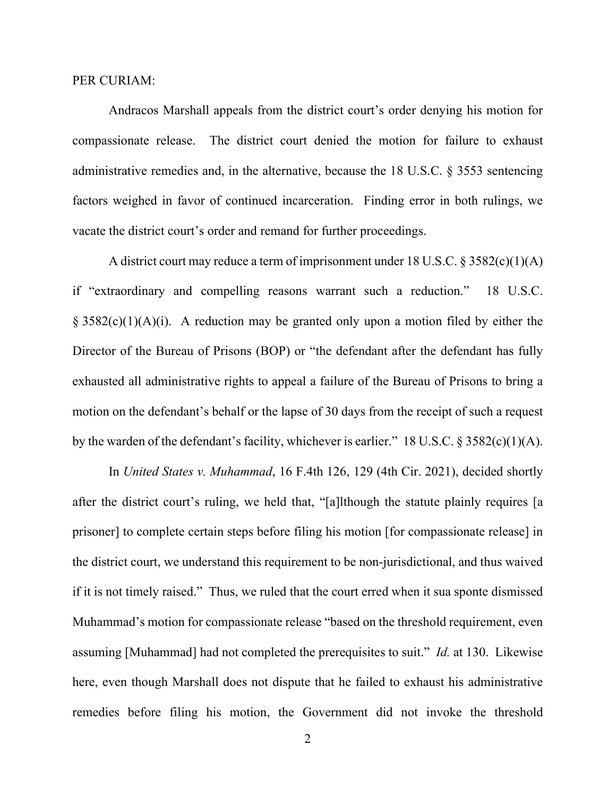#### PER CURIAM:

Andracos Marshall appeals from the district court's order denying his motion for compassionate release. The district court denied the motion for failure to exhaust administrative remedies and, in the alternative, because the 18 U.S.C. § 3553 sentencing factors weighed in favor of continued incarceration. Finding error in both rulings, we vacate the district court's order and remand for further proceedings.

A district court may reduce a term of imprisonment under 18 U.S.C. § 3582(c)(1)(A) if "extraordinary and compelling reasons warrant such a reduction." 18 U.S.C.  $\S$  3582(c)(1)(A)(i). A reduction may be granted only upon a motion filed by either the Director of the Bureau of Prisons (BOP) or "the defendant after the defendant has fully exhausted all administrative rights to appeal a failure of the Bureau of Prisons to bring a motion on the defendant's behalf or the lapse of 30 days from the receipt of such a request by the warden of the defendant's facility, whichever is earlier." 18 U.S.C.  $\S 3582(c)(1)(A)$ .

In *United States v. Muhammad*, 16 F.4th 126, 129 (4th Cir. 2021), decided shortly after the district court's ruling, we held that, "[a]lthough the statute plainly requires [a prisoner] to complete certain steps before filing his motion [for compassionate release] in the district court, we understand this requirement to be non-jurisdictional, and thus waived if it is not timely raised." Thus, we ruled that the court erred when it sua sponte dismissed Muhammad's motion for compassionate release "based on the threshold requirement, even assuming [Muhammad] had not completed the prerequisites to suit." *Id.* at 130. Likewise here, even though Marshall does not dispute that he failed to exhaust his administrative remedies before filing his motion, the Government did not invoke the threshold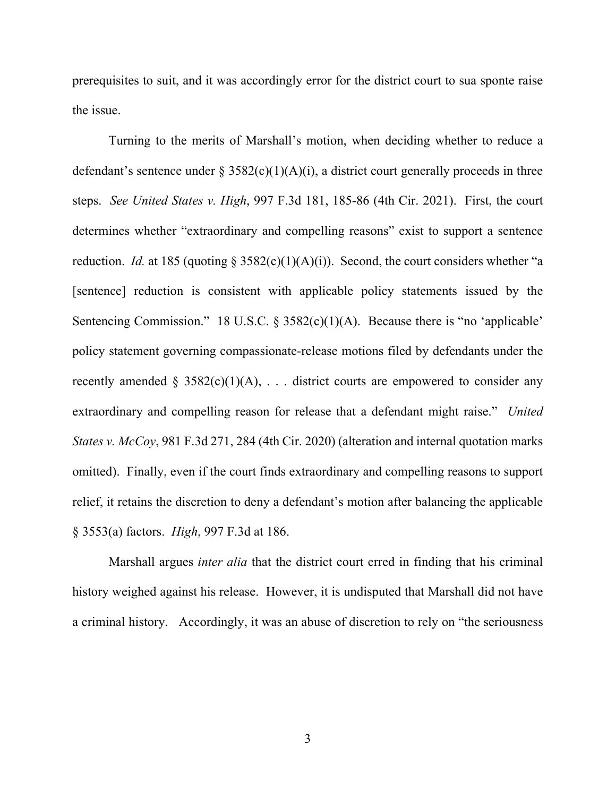prerequisites to suit, and it was accordingly error for the district court to sua sponte raise the issue.

Turning to the merits of Marshall's motion, when deciding whether to reduce a defendant's sentence under § 3582(c)(1)(A)(i), a district court generally proceeds in three steps. *See United States v. High*, 997 F.3d 181, 185-86 (4th Cir. 2021). First, the court determines whether "extraordinary and compelling reasons" exist to support a sentence reduction. *Id.* at 185 (quoting § 3582(c)(1)(A)(i)). Second, the court considers whether "a [sentence] reduction is consistent with applicable policy statements issued by the Sentencing Commission." 18 U.S.C. § 3582(c)(1)(A). Because there is "no 'applicable' policy statement governing compassionate-release motions filed by defendants under the recently amended § 3582(c)(1)(A), ... district courts are empowered to consider any extraordinary and compelling reason for release that a defendant might raise." *United States v. McCoy*, 981 F.3d 271, 284 (4th Cir. 2020) (alteration and internal quotation marks omitted). Finally, even if the court finds extraordinary and compelling reasons to support relief, it retains the discretion to deny a defendant's motion after balancing the applicable § 3553(a) factors. *High*, 997 F.3d at 186.

Marshall argues *inter alia* that the district court erred in finding that his criminal history weighed against his release. However, it is undisputed that Marshall did not have a criminal history. Accordingly, it was an abuse of discretion to rely on "the seriousness